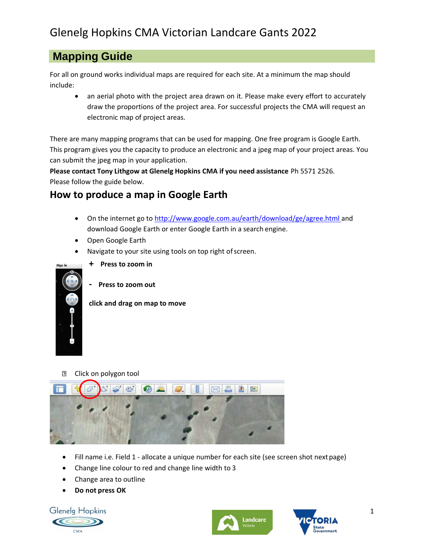## **Mapping Guide**

For all on ground works individual maps are required for each site. At a minimum the map should include:

• an aerial photo with the project area drawn on it. Please make every effort to accurately draw the proportions of the project area. For successful projects the CMA will request an electronic map of project areas.

There are many mapping programs that can be used for mapping. One free program is Google Earth. This program gives you the capacity to produce an electronic and a jpeg map of your project areas. You can submit the jpeg map in your application.

**Please contact Tony Lithgow at Glenelg Hopkins CMA if you need assistance** Ph 5571 2526.

Please follow the guide below.

## **How to produce a map in Google Earth**

- On the internet go to [http://www.google.com.au/earth/download/ge/agree.html a](http://www.google.com.au/earth/download/ge/agree.html)nd download Google Earth or enter Google Earth in a search engine.
- Open Google Earth
- Navigate to your site using tools on top right of screen.



- **+ Press to zoom in**
- **- Press to zoom out**

## **click and drag on map to move**

 $\overline{2}$ Click on polygon tool



- Fill name i.e. Field 1 allocate a unique number for each site (see screen shot nextpage)
- Change line colour to red and change line width to 3
- Change area to outline
- **Do not press OK**

**Glenelg Hopkins** 





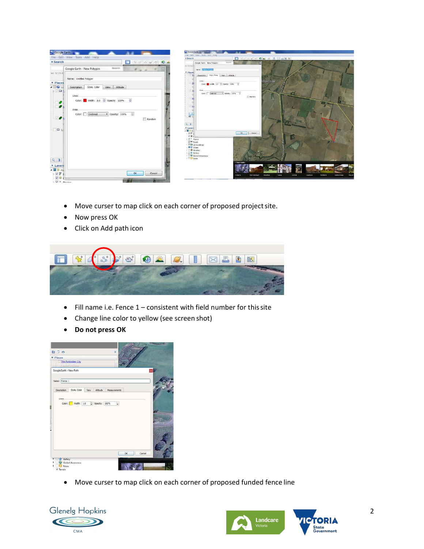

- Move curser to map click on each corner of proposed project site.
- Now press OK
- Click on Add path icon



- Fill name i.e. Fence 1 consistent with field number for thissite
- Change line color to yellow (see screen shot)
- **Do not press OK**



• Move curser to map click on each corner of proposed funded fence line



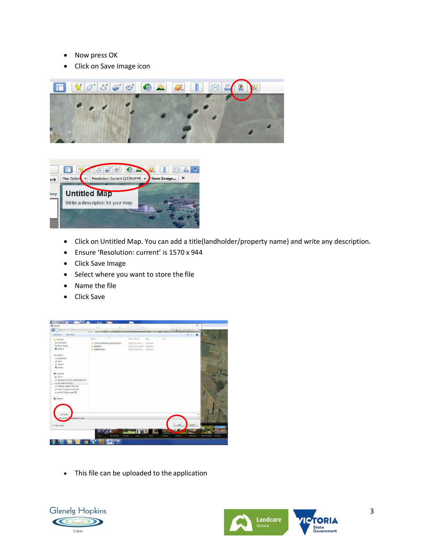- Now press OK
- Click on Save Image icon





- Click on Untitled Map. You can add a title(landholder/property name) and write any description.
- Ensure 'Resolution: current' is 1570 x 944
- Click Save Image
- Select where you want to store the file
- Name the file
- Click Save



• This file can be uploaded to the application